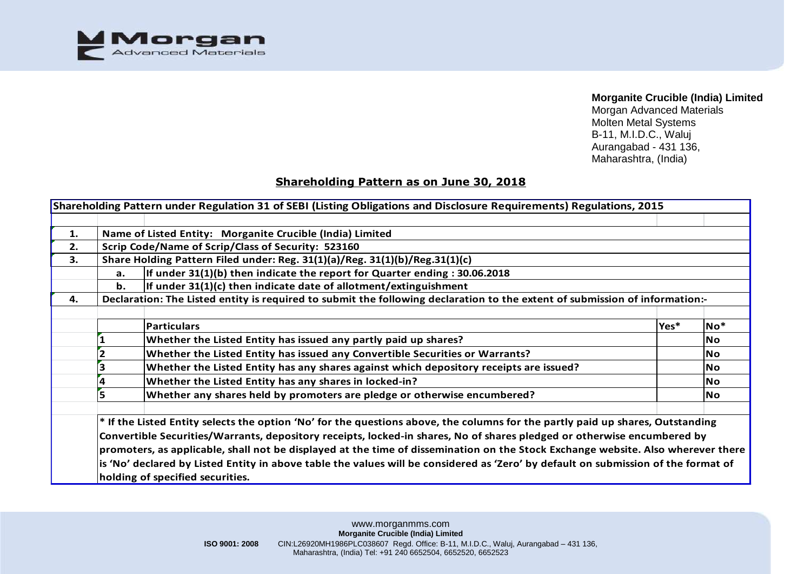

Morgan Advanced Materials Molten Metal Systems B-11, M.I.D.C., Waluj Aurangabad - 431 136, Maharashtra, (India)

# **Shareholding Pattern as on June 30, 2018**

|    |                                                                                    | Shareholding Pattern under Regulation 31 of SEBI (Listing Obligations and Disclosure Requirements) Regulations, 2015               |      |           |  |  |  |  |  |  |  |  |  |  |
|----|------------------------------------------------------------------------------------|------------------------------------------------------------------------------------------------------------------------------------|------|-----------|--|--|--|--|--|--|--|--|--|--|
|    |                                                                                    |                                                                                                                                    |      |           |  |  |  |  |  |  |  |  |  |  |
| 1. |                                                                                    | Name of Listed Entity: Morganite Crucible (India) Limited                                                                          |      |           |  |  |  |  |  |  |  |  |  |  |
| 2. |                                                                                    | Scrip Code/Name of Scrip/Class of Security: 523160                                                                                 |      |           |  |  |  |  |  |  |  |  |  |  |
| 3. |                                                                                    | Share Holding Pattern Filed under: Reg. 31(1)(a)/Reg. 31(1)(b)/Reg.31(1)(c)                                                        |      |           |  |  |  |  |  |  |  |  |  |  |
|    | If under $31(1)(b)$ then indicate the report for Quarter ending : 30.06.2018<br>a. |                                                                                                                                    |      |           |  |  |  |  |  |  |  |  |  |  |
|    | If under $31(1)(c)$ then indicate date of allotment/extinguishment<br>b.           |                                                                                                                                    |      |           |  |  |  |  |  |  |  |  |  |  |
| 4. |                                                                                    | Declaration: The Listed entity is required to submit the following declaration to the extent of submission of information:-        |      |           |  |  |  |  |  |  |  |  |  |  |
|    |                                                                                    |                                                                                                                                    |      |           |  |  |  |  |  |  |  |  |  |  |
|    |                                                                                    | <b>Particulars</b>                                                                                                                 | Yes* | $No*$     |  |  |  |  |  |  |  |  |  |  |
|    |                                                                                    | Whether the Listed Entity has issued any partly paid up shares?                                                                    |      | <b>No</b> |  |  |  |  |  |  |  |  |  |  |
|    |                                                                                    | Whether the Listed Entity has issued any Convertible Securities or Warrants?                                                       |      |           |  |  |  |  |  |  |  |  |  |  |
|    |                                                                                    | Whether the Listed Entity has any shares against which depository receipts are issued?                                             |      | <b>No</b> |  |  |  |  |  |  |  |  |  |  |
|    |                                                                                    | Whether the Listed Entity has any shares in locked-in?                                                                             |      | <b>No</b> |  |  |  |  |  |  |  |  |  |  |
|    |                                                                                    | Whether any shares held by promoters are pledge or otherwise encumbered?                                                           |      | <b>No</b> |  |  |  |  |  |  |  |  |  |  |
|    |                                                                                    | * If the Listed Entity selects the option 'No' for the questions above, the columns for the partly paid up shares, Outstanding     |      |           |  |  |  |  |  |  |  |  |  |  |
|    |                                                                                    | Convertible Securities/Warrants, depository receipts, locked-in shares, No of shares pledged or otherwise encumbered by            |      |           |  |  |  |  |  |  |  |  |  |  |
|    |                                                                                    | promoters, as applicable, shall not be displayed at the time of dissemination on the Stock Exchange website. Also wherever there   |      |           |  |  |  |  |  |  |  |  |  |  |
|    |                                                                                    | is 'No' declared by Listed Entity in above table the values will be considered as 'Zero' by default on submission of the format of |      |           |  |  |  |  |  |  |  |  |  |  |
|    |                                                                                    | holding of specified securities.                                                                                                   |      |           |  |  |  |  |  |  |  |  |  |  |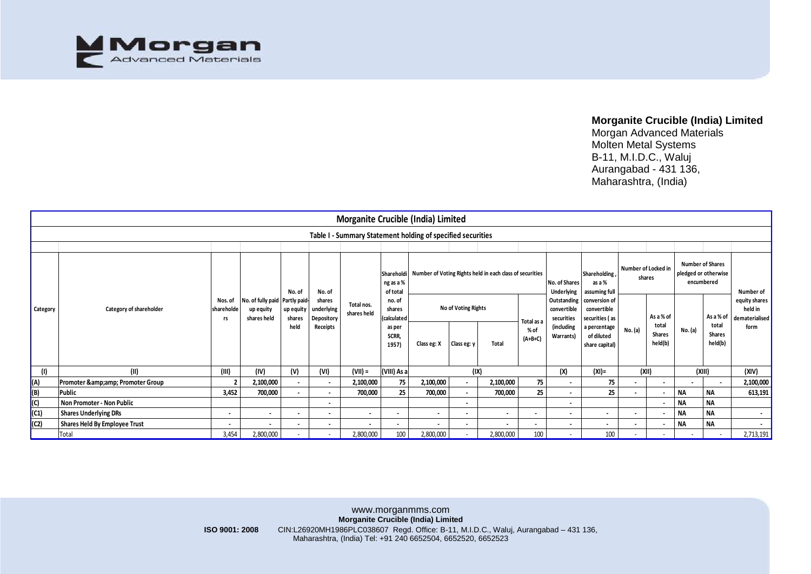

Morgan Advanced Materials Molten Metal Systems B-11, M.I.D.C., Waluj Aurangabad - 431 136, Maharashtra, (India)

|                 |                                                             |                             |                                                            |                     |                                    | Morganite Crucible (India) Limited |                                                             |                                                          |                |                |                   |                                          |                                                |                |                                   |                                                               |                            |                                            |
|-----------------|-------------------------------------------------------------|-----------------------------|------------------------------------------------------------|---------------------|------------------------------------|------------------------------------|-------------------------------------------------------------|----------------------------------------------------------|----------------|----------------|-------------------|------------------------------------------|------------------------------------------------|----------------|-----------------------------------|---------------------------------------------------------------|----------------------------|--------------------------------------------|
|                 | Table I - Summary Statement holding of specified securities |                             |                                                            |                     |                                    |                                    |                                                             |                                                          |                |                |                   |                                          |                                                |                |                                   |                                                               |                            |                                            |
|                 |                                                             |                             |                                                            |                     |                                    |                                    |                                                             |                                                          |                |                |                   |                                          |                                                |                |                                   |                                                               |                            |                                            |
| <b>Category</b> |                                                             |                             | No. of fully paid Partly paid-<br>up equity<br>shares held | No. of              | No. of                             |                                    | Shareholdi<br>ng as a %<br>of total                         | Number of Voting Rights held in each class of securities |                |                |                   | No. of Shares<br><b>Underlying</b>       | <b>Shareholding</b><br>as a %<br>assuming full |                | Number of Locked in<br>shares     | <b>Number of Shares</b><br>pledged or otherwise<br>encumbered |                            | Number of                                  |
|                 | Category of shareholder                                     | Nos. of<br>shareholde<br>rs |                                                            | up equity<br>shares | shares<br>underlying<br>Depository | Total nos.<br>shares held          | no. of<br>shares<br>(calculated<br>as per<br>SCRR,<br>1957) | No of Voting Rights<br>Total as a                        |                |                |                   | Outstanding<br>convertible<br>securities | conversion of<br>convertible<br>securities (as |                | As a % of                         |                                                               | As a % of                  | equity shares<br>held in<br>dematerialised |
|                 |                                                             |                             |                                                            | held                | Receipts                           |                                    |                                                             | Class eg: X                                              | Class eg: y    | Total          | % of<br>$(A+B+C)$ | (including<br>Warrants)                  | a percentage<br>of diluted<br>share capital)   | No. (a)        | total<br><b>Shares</b><br>held(b) | No. (a)                                                       | total<br>Shares<br>held(b) | form                                       |
|                 |                                                             |                             |                                                            |                     |                                    |                                    |                                                             |                                                          |                |                |                   |                                          |                                                |                |                                   |                                                               |                            |                                            |
|                 | (11)                                                        | (III)                       | (IV)                                                       | (V)                 | (VI)                               | $(VII) =$                          | (VIII) As a                                                 |                                                          | (IX)           |                |                   | (X)                                      | $(XI) =$                                       | (XII)          |                                   | (XIII)                                                        |                            | (XIV)                                      |
|                 | Promoter & Promoter Group                                   |                             | 2,100,000                                                  | $\blacksquare$      | $\sim$                             | 2,100,000                          | 75                                                          | 2,100,000                                                | $\blacksquare$ | 2,100,000      | 75                | $\blacksquare$                           | 75                                             |                |                                   |                                                               |                            | 2,100,000                                  |
| (A)<br>(B)      | Public                                                      | 3,452                       | 700,000                                                    | $\sim$              | $\sim$                             | 700,000                            | 25                                                          | 700,000                                                  | $\sim$         | 700,000        | 25                | $\blacksquare$                           | 25                                             |                |                                   | NΑ                                                            | <b>NA</b>                  | 613,191                                    |
| $\overline{C}$  | Non Promoter - Non Public                                   |                             |                                                            |                     | $\sim$                             |                                    |                                                             |                                                          | $\blacksquare$ |                |                   | $\blacksquare$                           |                                                |                |                                   | ΝA                                                            | <b>NA</b>                  |                                            |
| (C1)            | <b>Shares Underlying DRs</b>                                | $\overline{\phantom{a}}$    | $\sim$                                                     | $\blacksquare$      | $\sim$                             | $\sim$                             | $\sim$                                                      | $\blacksquare$                                           | $\blacksquare$ | $\blacksquare$ | $\blacksquare$    | $\blacksquare$                           | $\sim$                                         | $\blacksquare$ |                                   | <b>NA</b>                                                     | <b>NA</b>                  | $\sim$                                     |
| (C2)            | Shares Held By Employee Trust                               |                             | $\blacksquare$                                             | $\blacksquare$      | $\blacksquare$                     | $\blacksquare$                     | $\sim$                                                      |                                                          | $\blacksquare$ |                |                   | $\blacksquare$                           | $\blacksquare$                                 | $\blacksquare$ |                                   | ΝA                                                            | <b>NA</b>                  |                                            |
|                 | Total                                                       | 3,454                       | 2,800,000                                                  |                     |                                    | 2,800,000                          | 100                                                         | 2,800,000                                                |                | 2,800,000      | 100               | $\overline{\phantom{a}}$                 | 100                                            |                |                                   |                                                               |                            | 2,713,191                                  |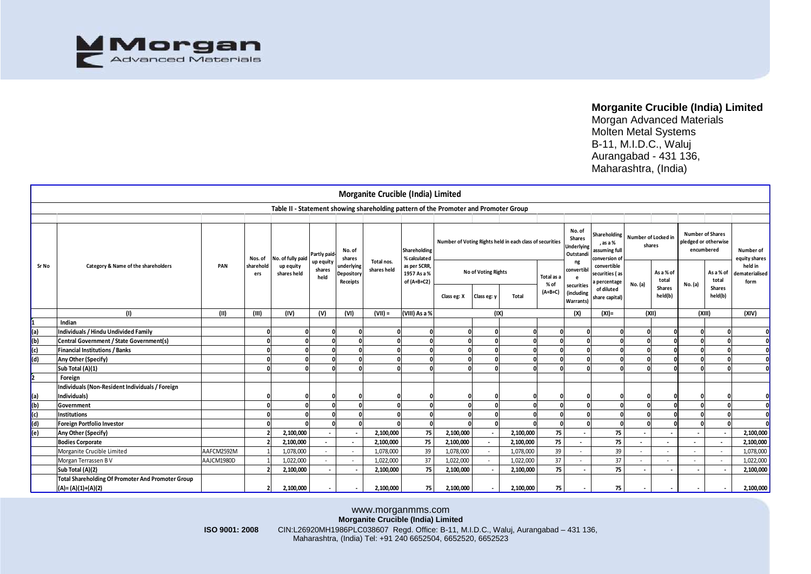

Morgan Advanced Materials Molten Metal Systems B-11, M.I.D.C., Waluj Aurangabad - 431 136, Maharashtra, (India)

|       |                                                          |                |                  |                                                                                      |                          |                                      | Morganite Crucible (India) Limited                                                                                                                                                                             |                                                                              |                     |                          |                                                          |                   |                                                   |                                                            |                               |                          |                                                               |                          |                                   |
|-------|----------------------------------------------------------|----------------|------------------|--------------------------------------------------------------------------------------|--------------------------|--------------------------------------|----------------------------------------------------------------------------------------------------------------------------------------------------------------------------------------------------------------|------------------------------------------------------------------------------|---------------------|--------------------------|----------------------------------------------------------|-------------------|---------------------------------------------------|------------------------------------------------------------|-------------------------------|--------------------------|---------------------------------------------------------------|--------------------------|-----------------------------------|
|       |                                                          |                |                  | Table II - Statement showing shareholding pattern of the Promoter and Promoter Group |                          |                                      |                                                                                                                                                                                                                |                                                                              |                     |                          |                                                          |                   |                                                   |                                                            |                               |                          |                                                               |                          |                                   |
|       |                                                          |                |                  |                                                                                      |                          |                                      |                                                                                                                                                                                                                |                                                                              |                     |                          |                                                          |                   |                                                   |                                                            |                               |                          |                                                               |                          |                                   |
|       | Category & Name of the shareholders                      |                | Nos. of          | No. of fully paid                                                                    | Partly paid<br>up equity | No. of<br>shares                     | Total nos.<br>shares held                                                                                                                                                                                      | Shareholding<br>% calculated<br>as per SCRR,<br>1957 As a %<br>of $(A+B+C2)$ |                     |                          | Number of Voting Rights held in each class of securities |                   | No. of<br>Shares<br>Underlying<br>Outstandi<br>ng | Shareholding<br>, as a %<br>assuming full<br>conversion of | Number of Locked in<br>shares |                          | <b>Number of Shares</b><br>pledged or otherwise<br>encumbered |                          | Number of<br>equity shares        |
| Sr No |                                                          | PAN            | sharehold<br>ers | up equity<br>shares held                                                             | shares<br>held           | ınderlying<br>Depository<br>Receipts |                                                                                                                                                                                                                |                                                                              | No of Voting Rights |                          |                                                          | Total as a        | convertibl<br>e                                   | convertible<br>securities (as<br>a percentage              |                               | As a % of<br>total       |                                                               | As a % of<br>total       | held in<br>dematerialised<br>form |
|       |                                                          |                |                  |                                                                                      |                          |                                      |                                                                                                                                                                                                                |                                                                              | Class eg: X         | Class eg: y              | Total                                                    | % of<br>$(A+B+C)$ | securities<br>(including<br>Warrants)             | of diluted<br>share capital)                               | No. (a)                       | <b>Shares</b><br>held(b) | No. (a)                                                       | Shares<br>held(b)        |                                   |
|       | (1)                                                      | (11)           | (III)            | (IV)                                                                                 | (V)                      | (VI)                                 | $(VII) =$                                                                                                                                                                                                      | (VIII) As a %                                                                |                     | (IX)                     |                                                          |                   | (X)                                               | $(XI) =$                                                   | (XII)                         |                          | (XIII)                                                        |                          | (XIV)                             |
|       | Indian                                                   |                |                  |                                                                                      |                          |                                      |                                                                                                                                                                                                                |                                                                              |                     |                          |                                                          |                   |                                                   |                                                            |                               |                          |                                                               |                          |                                   |
| a)    | Individuals / Hindu Undivided Family                     |                |                  |                                                                                      |                          |                                      |                                                                                                                                                                                                                |                                                                              |                     |                          |                                                          |                   |                                                   |                                                            |                               |                          |                                                               |                          |                                   |
| (b    | Central Government / State Government(s)                 |                |                  |                                                                                      |                          |                                      |                                                                                                                                                                                                                |                                                                              |                     |                          |                                                          |                   |                                                   |                                                            |                               |                          |                                                               |                          |                                   |
| (c)   | Financial Institutions / Banks                           |                |                  |                                                                                      |                          |                                      |                                                                                                                                                                                                                |                                                                              |                     |                          |                                                          |                   |                                                   |                                                            |                               |                          |                                                               |                          |                                   |
| (d)   | Any Other (Specify)                                      |                |                  |                                                                                      |                          |                                      |                                                                                                                                                                                                                |                                                                              |                     |                          |                                                          |                   |                                                   |                                                            |                               |                          |                                                               |                          |                                   |
|       | Sub Total (A)(1)                                         |                |                  |                                                                                      |                          | C                                    |                                                                                                                                                                                                                |                                                                              |                     |                          |                                                          |                   |                                                   |                                                            |                               |                          |                                                               |                          |                                   |
|       | Foreign                                                  |                |                  |                                                                                      |                          |                                      |                                                                                                                                                                                                                |                                                                              |                     |                          |                                                          |                   |                                                   |                                                            |                               |                          |                                                               |                          |                                   |
|       | Individuals (Non-Resident Individuals / Foreign          |                |                  |                                                                                      |                          |                                      |                                                                                                                                                                                                                |                                                                              |                     |                          |                                                          |                   |                                                   |                                                            |                               |                          |                                                               |                          |                                   |
| (a)   | Individuals)                                             |                |                  |                                                                                      |                          |                                      |                                                                                                                                                                                                                |                                                                              |                     |                          |                                                          |                   |                                                   |                                                            |                               |                          |                                                               |                          |                                   |
| (b)   | Government                                               |                |                  |                                                                                      |                          |                                      |                                                                                                                                                                                                                |                                                                              |                     |                          |                                                          |                   |                                                   |                                                            |                               |                          |                                                               |                          |                                   |
| (c)   | <b>Institutions</b>                                      |                |                  |                                                                                      |                          |                                      |                                                                                                                                                                                                                |                                                                              |                     |                          |                                                          |                   |                                                   |                                                            |                               |                          |                                                               |                          |                                   |
| (d)   | <b>Foreign Portfolio Investor</b>                        |                |                  |                                                                                      |                          |                                      |                                                                                                                                                                                                                |                                                                              |                     |                          |                                                          |                   |                                                   |                                                            |                               |                          |                                                               |                          |                                   |
| (e)   | Any Other (Specify)                                      |                |                  | 2,100,000                                                                            |                          |                                      | 2,100,000                                                                                                                                                                                                      | 75                                                                           | 2,100,000           |                          | 2,100,000                                                | 75                |                                                   | 75                                                         |                               |                          | $\overline{\phantom{a}}$                                      |                          | 2,100,000                         |
|       | <b>Bodies Corporate</b>                                  |                |                  | 2,100,000                                                                            |                          |                                      | 2,100,000                                                                                                                                                                                                      | 75                                                                           | 2,100,000           | $\overline{\phantom{a}}$ | 2,100,000                                                | 75                |                                                   | 75                                                         |                               |                          |                                                               |                          | 2,100,000                         |
|       | Morganite Crucible Limited                               | AAFCM2592M     |                  | 1,078,000                                                                            |                          | $\overline{\phantom{a}}$             | 1,078,000                                                                                                                                                                                                      | 39                                                                           | 1,078,000           | $\sim$                   | 1,078,000                                                | 39                |                                                   | 39                                                         |                               | $\sim$                   | $\sim$                                                        | $\overline{\phantom{a}}$ | 1,078,000                         |
|       | Morgan Terrassen BV                                      | AAJCM1980D     |                  | 1,022,000                                                                            |                          | $\overline{a}$                       | 1,022,000                                                                                                                                                                                                      | 37                                                                           | 1,022,000           |                          | 1,022,000                                                | 37                |                                                   | 37                                                         |                               | $\sim$                   | $\sim$                                                        | $\overline{\phantom{a}}$ | 1,022,000                         |
|       | Sub Total (A)(2)                                         |                |                  | 2,100,000                                                                            |                          |                                      | 2,100,000                                                                                                                                                                                                      | 75                                                                           | 2,100,000           |                          | 2,100,000                                                | 75                |                                                   | 75                                                         |                               |                          | $\overline{a}$                                                |                          | 2,100,000                         |
|       | <b>Total Shareholding Of Promoter And Promoter Group</b> |                |                  |                                                                                      |                          |                                      |                                                                                                                                                                                                                |                                                                              |                     |                          |                                                          |                   |                                                   |                                                            |                               |                          |                                                               |                          |                                   |
|       | $(A)=(A)(1)+(A)(2)$                                      |                |                  | 2,100,000                                                                            |                          |                                      | 2,100,000                                                                                                                                                                                                      | 75                                                                           | 2,100,000           |                          | 2,100,000                                                | 75                |                                                   | 75                                                         |                               |                          |                                                               |                          | 2,100,000                         |
|       |                                                          | ISO 9001: 2008 |                  |                                                                                      |                          |                                      | www.morganmms.com<br>Morganite Crucible (India) Limited<br>CIN:L26920MH1986PLC038607 Regd. Office: B-11, M.I.D.C., Waluj, Aurangabad - 431 136,<br>Maharashtra, (India) Tel: +91 240 6652504, 6652520, 6652523 |                                                                              |                     |                          |                                                          |                   |                                                   |                                                            |                               |                          |                                                               |                          |                                   |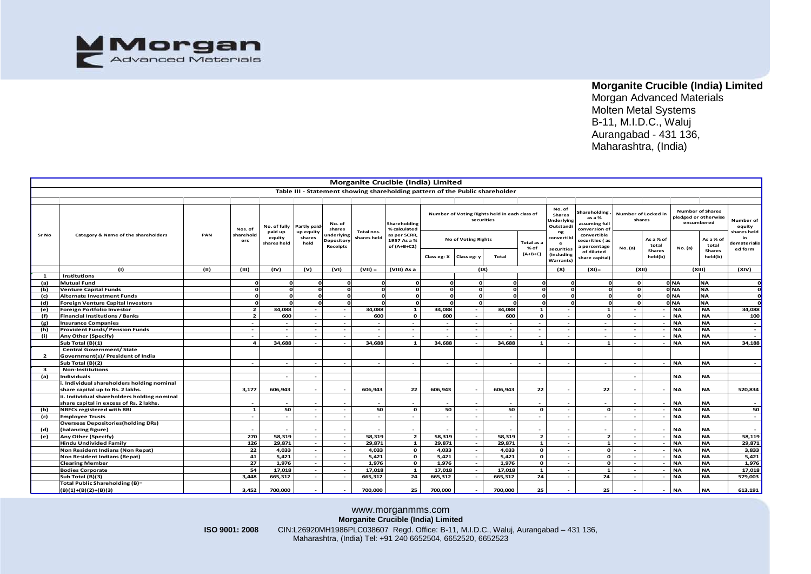

Morgan Advanced Materials Molten Metal Systems B-11, M.I.D.C., Waluj Aurangabad - 431 136, Maharashtra, (India)

|                | Morganite Crucible (India) Limited                       |      |                             |                                                              |                             |                                                     |                           |                                                                              |                          |                                          |                                               |                          |                                                                                     |                                                                                           |                                            |                            |                                                                            |                                   |                                                    |
|----------------|----------------------------------------------------------|------|-----------------------------|--------------------------------------------------------------|-----------------------------|-----------------------------------------------------|---------------------------|------------------------------------------------------------------------------|--------------------------|------------------------------------------|-----------------------------------------------|--------------------------|-------------------------------------------------------------------------------------|-------------------------------------------------------------------------------------------|--------------------------------------------|----------------------------|----------------------------------------------------------------------------|-----------------------------------|----------------------------------------------------|
|                |                                                          |      |                             |                                                              |                             |                                                     |                           |                                                                              |                          |                                          |                                               |                          |                                                                                     |                                                                                           |                                            |                            |                                                                            |                                   |                                                    |
|                |                                                          |      |                             |                                                              |                             |                                                     |                           | Table III - Statement showing shareholding pattern of the Public shareholder |                          |                                          |                                               |                          |                                                                                     |                                                                                           |                                            |                            |                                                                            |                                   |                                                    |
|                |                                                          |      |                             |                                                              |                             |                                                     |                           |                                                                              |                          |                                          |                                               |                          |                                                                                     |                                                                                           |                                            |                            |                                                                            |                                   |                                                    |
| Sr No          | Category & Name of the shareholders                      | PAN  | Nos. of<br>sharehold<br>ers | No. of fully Partly paid<br>paid up<br>equity<br>shares held | up equity<br>shares<br>held | No. of<br>shares<br>ınderlyinş<br><b>Depository</b> | Total nos.<br>shares held | Shareholding<br>% calculated<br>as per SCRR,<br>1957 As a %                  |                          | securities<br><b>No of Voting Rights</b> | Number of Voting Rights held in each class of | Total as a               | No. of<br><b>Shares</b><br>Underlying<br>Outstandi<br>ng<br>convertib<br>$\epsilon$ | Shareholding<br>as a %<br>assuming full<br>conversion of<br>convertible<br>securities (as | Number of Locked in<br>shares<br>As a % of |                            | <b>Number of Shares</b><br>pledged or otherwise<br>encumbered<br>As a % of |                                   | Number of<br>equity<br>shares held<br>dematerialis |
|                |                                                          |      |                             |                                                              |                             | Receipts                                            |                           | of (A+B+C2)                                                                  | Class eg: X              | Class eg: y                              | Total                                         | $%$ of<br>$(A+B+C)$      | securities<br>(including<br><b>Warrants</b> )                                       | percentage<br>of diluted<br>share capital)                                                | No. (a)                                    | total<br>Shares<br>held(b) | No. (a)                                                                    | total<br><b>Shares</b><br>held(b) | ed form                                            |
|                | (1)                                                      | (11) | (III)                       | (IV)                                                         | (v)                         | (VI)                                                | $(VII) =$                 | (VIII) As a                                                                  |                          | (1)                                      |                                               |                          | (X)                                                                                 | $(XI) =$                                                                                  | (X  )                                      |                            | (X  )                                                                      |                                   | (XIV)                                              |
| $\mathbf{1}$   | <b>Institutions</b>                                      |      |                             |                                                              |                             |                                                     |                           |                                                                              |                          |                                          |                                               |                          |                                                                                     |                                                                                           |                                            |                            |                                                                            |                                   |                                                    |
| (a)            | <b>Mutual Fund</b>                                       |      |                             |                                                              |                             |                                                     |                           |                                                                              |                          |                                          |                                               | $\Omega$                 |                                                                                     |                                                                                           | $\Omega$                                   |                            | 0 NA                                                                       | <b>NA</b>                         | O                                                  |
| (b)            | <b>Venture Capital Funds</b>                             |      |                             |                                                              |                             |                                                     |                           |                                                                              |                          |                                          |                                               | $\Omega$                 |                                                                                     |                                                                                           | $\Omega$                                   |                            | 0 NA                                                                       | <b>NA</b>                         |                                                    |
| (c)            | <b>Alternate Investment Funds</b>                        |      |                             |                                                              |                             |                                                     |                           |                                                                              |                          |                                          |                                               | $\Omega$                 |                                                                                     |                                                                                           | $\Omega$                                   |                            | 0 NA                                                                       | <b>NA</b>                         |                                                    |
| (d)            | Foreign Venture Capital Investors                        |      |                             |                                                              |                             |                                                     |                           |                                                                              |                          |                                          |                                               | $\Omega$                 |                                                                                     |                                                                                           |                                            |                            | 0 NA                                                                       | <b>NA</b>                         |                                                    |
| (e)            | Foreign Portfolio Investor                               |      | $\overline{2}$              | 34.088                                                       | $\overline{a}$              | $\sim$                                              | 34,088                    | $\mathbf{1}$                                                                 | 34,088                   | $\sim$                                   | 34.088                                        | $\mathbf{1}$             | $\overline{\phantom{a}}$                                                            | $\mathbf{1}$                                                                              | - -                                        | $\overline{\phantom{a}}$   | <b>NA</b>                                                                  | <b>NA</b>                         | 34,088                                             |
| (f)            | <b>Financial Institutions / Banks</b>                    |      | $\overline{2}$              | 600                                                          | $\overline{a}$              | $\sim$                                              | 600                       | $\mathbf{o}$                                                                 | 600                      | $\sim$                                   | 600                                           | $\mathbf{o}$             | $\sim$                                                                              | $\mathbf{o}$                                                                              | $\sim$                                     | $\sim$                     | <b>NA</b>                                                                  | <b>NA</b>                         | 100                                                |
| (g)            | <b>Insurance Companies</b>                               |      | $\sim$                      |                                                              | $\sim$                      | $\sim$                                              | $\overline{\phantom{a}}$  | $\sim$                                                                       | $\sim$                   | $\sim$                                   | $\sim$                                        | $\sim$                   | $\sim$                                                                              | $\overline{a}$                                                                            | $\sim$                                     | $\sim$                     | <b>NA</b>                                                                  | <b>NA</b>                         | $\overline{\phantom{a}}$                           |
| (h)            | Provident Funds/ Pension Funds                           |      | $\sim$                      |                                                              | $\sim$                      | $\sim$                                              | $\overline{\phantom{a}}$  | $\sim$                                                                       | $\sim$                   | $\sim$                                   |                                               | $\sim$                   | $\overline{\phantom{a}}$                                                            | $\overline{\phantom{a}}$                                                                  | - 1                                        | $\sim$                     | <b>NA</b>                                                                  | <b>NA</b>                         | $\overline{\phantom{a}}$                           |
| (i)            | Any Other (Specify)                                      |      | $\sim$                      |                                                              | $\overline{\phantom{a}}$    | $\sim$                                              |                           | $\sim$                                                                       | $\overline{\phantom{a}}$ | $\overline{\phantom{a}}$                 |                                               | $\bar{a}$                | $\overline{\phantom{a}}$                                                            | $\overline{\phantom{a}}$                                                                  | $\sim$                                     | $\sim$                     | <b>NA</b>                                                                  | <b>NA</b>                         |                                                    |
|                | Sub Total (B)(1)                                         |      | $\overline{a}$              | 34.688                                                       |                             | $\sim$                                              | 34.688                    | $\mathbf{1}$                                                                 | 34.688                   | $\sim$                                   | 34.688                                        | $\mathbf{1}$             | $\overline{\phantom{a}}$                                                            | $\mathbf{1}$                                                                              | - 1                                        | $\sim$                     | <b>NA</b>                                                                  | <b>NA</b>                         | 34,188                                             |
|                | <b>Central Government/ State</b>                         |      |                             |                                                              |                             |                                                     |                           |                                                                              |                          |                                          |                                               |                          |                                                                                     |                                                                                           |                                            |                            |                                                                            |                                   |                                                    |
| $\overline{2}$ | Government(s)/ President of India                        |      |                             |                                                              |                             |                                                     |                           |                                                                              |                          |                                          |                                               |                          |                                                                                     |                                                                                           |                                            |                            |                                                                            |                                   |                                                    |
|                | Sub Total (B)(2)                                         |      | $\sim$                      | $\overline{a}$                                               | $\overline{\phantom{a}}$    | $\sim$                                              | $\overline{\phantom{a}}$  | $\overline{\phantom{a}}$                                                     | $\overline{\phantom{a}}$ | $\overline{\phantom{a}}$                 | $\overline{\phantom{a}}$                      | $\overline{\phantom{a}}$ | $\overline{\phantom{a}}$                                                            | $\overline{\phantom{a}}$                                                                  | $\sim$                                     | $\sim$                     | <b>NA</b>                                                                  | <b>NA</b>                         |                                                    |
| $\mathbf{3}$   | <b>Non-Institutions</b>                                  |      |                             |                                                              |                             |                                                     |                           |                                                                              |                          |                                          |                                               |                          |                                                                                     |                                                                                           |                                            |                            |                                                                            |                                   |                                                    |
| (a)            | Individuals                                              |      |                             |                                                              | $\overline{a}$              |                                                     |                           |                                                                              |                          |                                          |                                               |                          |                                                                                     |                                                                                           | $\sim$                                     |                            | <b>NA</b>                                                                  | <b>NA</b>                         |                                                    |
|                | i. Individual shareholders holding nominal               |      |                             |                                                              |                             |                                                     |                           |                                                                              |                          |                                          |                                               |                          |                                                                                     |                                                                                           |                                            |                            |                                                                            |                                   |                                                    |
|                | share capital up to Rs. 2 lakhs.                         |      | 3,177                       | 606,943                                                      |                             |                                                     | 606,943                   | 22                                                                           | 606,943                  | $\sim$                                   | 606,943                                       | 22                       |                                                                                     | 22                                                                                        |                                            | $\overline{\phantom{a}}$   | <b>NA</b>                                                                  | <b>NA</b>                         | 520,834                                            |
|                | ii. Individual shareholders holding nominal              |      |                             |                                                              |                             |                                                     |                           |                                                                              |                          |                                          |                                               |                          |                                                                                     |                                                                                           |                                            |                            |                                                                            |                                   |                                                    |
|                | share capital in excess of Rs. 2 lakhs.                  |      |                             |                                                              |                             |                                                     |                           |                                                                              |                          |                                          |                                               |                          |                                                                                     |                                                                                           |                                            |                            | <b>NA</b>                                                                  | <b>NA</b>                         |                                                    |
| (b)            | <b>NBFCs registered with RBI</b>                         |      | $\mathbf{1}$                | 50                                                           | $\sim$                      | $\sim$                                              | 50                        | $\Omega$                                                                     | 50                       | $\sim$                                   | 50                                            | $\mathbf{o}$             | $\blacksquare$                                                                      | $\mathbf{o}$                                                                              | $\sim$                                     | $\sim$                     | <b>NA</b>                                                                  | <b>NA</b>                         | 50                                                 |
| (c)            | <b>Employee Trusts</b>                                   |      | $\overline{a}$              |                                                              | $\overline{a}$              | $\sim$                                              | ÷.                        |                                                                              | $\sim$                   | ÷.                                       | ÷.                                            | $\sim$                   |                                                                                     | $\sim$                                                                                    | - 1                                        | n.                         | <b>NA</b>                                                                  | <b>NA</b>                         | $\sim$                                             |
|                | <b>Overseas Depositories (holding DRs)</b>               |      |                             |                                                              |                             |                                                     |                           |                                                                              |                          |                                          |                                               |                          |                                                                                     |                                                                                           |                                            |                            |                                                                            |                                   |                                                    |
| (d)            | (balancing figure)                                       |      |                             |                                                              |                             |                                                     |                           |                                                                              |                          |                                          |                                               |                          |                                                                                     |                                                                                           |                                            | $\overline{\phantom{a}}$   | <b>NA</b>                                                                  | <b>NA</b>                         |                                                    |
| (e)            | Any Other (Specify)                                      |      | 270                         | 58,319                                                       | $\sim$                      | $\sim$                                              | 58,319                    | $\overline{2}$                                                               | 58,319                   | $\sim$                                   | 58,319                                        | $\overline{\mathbf{z}}$  | $\sim$                                                                              | $\overline{2}$                                                                            | $\sim$                                     | $\sim$                     | <b>NA</b>                                                                  | <b>NA</b>                         | 58,119                                             |
|                | Hindu Undivided Family                                   |      | 126                         | 29,871                                                       | $\sim$                      | $\sim$                                              | 29,871                    | $\mathbf{1}$                                                                 | 29,871                   | $\sim$                                   | 29,871                                        | $\mathbf{1}$             | $\overline{\phantom{a}}$                                                            | $\mathbf{1}$                                                                              | $\sim$                                     | $\sim$                     | <b>NA</b>                                                                  | <b>NA</b>                         | 29,871                                             |
|                | Non Resident Indians (Non Repat)                         |      | 22                          | 4,033                                                        | $\sim$                      | $\sim$                                              | 4.033                     | $\mathbf{o}$                                                                 | 4.033                    | $\sim$                                   | 4,033                                         | $\mathbf{o}$             | $\sim$                                                                              | $\mathbf{o}$                                                                              | $\sim$                                     | $\sim$                     | <b>NA</b>                                                                  | <b>NA</b>                         | 3,833                                              |
|                | Non Resident Indians (Repat)                             |      | 41                          | 5,421                                                        | $\sim$                      | $\sim$                                              | 5,421                     | $\mathbf{o}$                                                                 | 5,421                    | $\sim$                                   | 5,421                                         | $\mathbf{o}$             | $\overline{\phantom{a}}$                                                            | $\Omega$                                                                                  |                                            | $\sim$                     | <b>NA</b>                                                                  | <b>NA</b>                         | 5,421                                              |
|                | <b>Clearing Member</b>                                   |      | 27                          | 1,976                                                        | $\sim$                      | $\sim$                                              | 1,976                     | $\mathbf{o}$                                                                 | 1,976                    | $\sim$                                   | 1,976                                         | $\mathbf{o}$             | $\overline{\phantom{a}}$                                                            | <sup>o</sup>                                                                              | - 1                                        | $\sim$                     | <b>NA</b>                                                                  | <b>NA</b>                         | 1,976                                              |
|                | <b>Bodies Corporate</b>                                  |      | 54                          | 17,018                                                       | $\sim$                      | $\sim$                                              | 17.018                    | $\mathbf{1}$                                                                 | 17,018                   | $\sim$                                   | 17,018                                        | $\mathbf{1}$             | ٠                                                                                   | $\mathbf{1}$                                                                              | $\sim$                                     | $\sim$                     | <b>NA</b>                                                                  | <b>NA</b>                         | 17,018                                             |
|                | Sub Total (B)(3)                                         |      | 3.448                       | 665,312                                                      | $\overline{\phantom{a}}$    | $\overline{\phantom{a}}$                            | 665,312                   | 24                                                                           | 665,312                  | $\sim$                                   | 665,312                                       | 24                       | ٠                                                                                   | 24                                                                                        | $\sim$                                     | $\sim$                     | <b>NA</b>                                                                  | <b>NA</b>                         | 579.003                                            |
|                | Total Public Shareholding (B)=<br>$(B)(1)+(B)(2)+(B)(3)$ |      | 3,452                       | 700,000                                                      |                             |                                                     | 700,000                   | 25                                                                           | 700,000                  | $\overline{\phantom{a}}$                 | 700,000                                       | 25                       |                                                                                     | 25                                                                                        |                                            | $\overline{\phantom{a}}$   | <b>NA</b>                                                                  | <b>NA</b>                         | 613,191                                            |

#### www.morganmms.com **Morganite Crucible (India) Limited ISO 9001: 2008** CIN:L26920MH1986PLC038607 Regd. Office: B-11, M.I.D.C., Waluj, Aurangabad – 431 136, Maharashtra, (India) Tel: +91 240 6652504, 6652520, 6652523